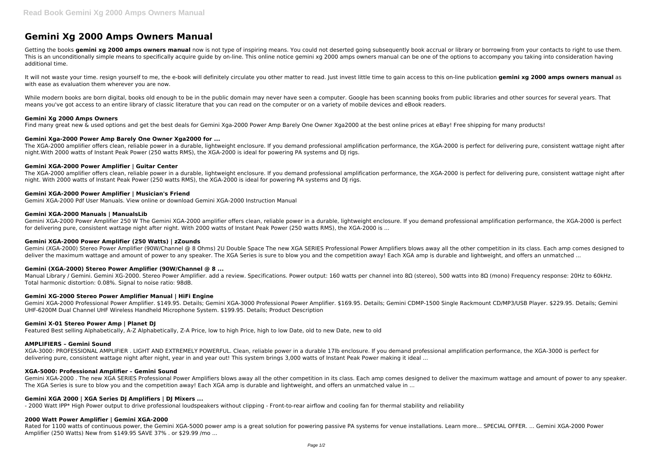# **Gemini Xg 2000 Amps Owners Manual**

Getting the books **gemini xg 2000 amps owners manual** now is not type of inspiring means. You could not deserted going subsequently book accrual or library or borrowing from your contacts to right to use them. This is an unconditionally simple means to specifically acquire guide by on-line. This online notice gemini xg 2000 amps owners manual can be one of the options to accompany you taking into consideration having additional time.

It will not waste your time, resign yourself to me, the e-book will definitely circulate you other matter to read. Just invest little time to gain access to this on-line publication gemini xg 2000 amps owners manual as with ease as evaluation them wherever you are now.

While modern books are born digital, books old enough to be in the public domain may never have seen a computer. Google has been scanning books from public libraries and other sources for several years. That means you've got access to an entire library of classic literature that you can read on the computer or on a variety of mobile devices and eBook readers.

### **Gemini Xg 2000 Amps Owners**

Find many great new & used options and get the best deals for Gemini Xga-2000 Power Amp Barely One Owner Xga2000 at the best online prices at eBay! Free shipping for many products!

Gemini (XGA-2000) Stereo Power Amplifier (90W/Channel @ 8 Ohms) 2U Double Space The new XGA SERIES Professional Power Amplifiers blows away all the other competition in its class. Each amp comes designed to deliver the maximum wattage and amount of power to any speaker. The XGA Series is sure to blow you and the competition away! Each XGA amp is durable and lightweight, and offers an unmatched ...

### **Gemini Xga-2000 Power Amp Barely One Owner Xga2000 for ...**

The XGA-2000 amplifier offers clean, reliable power in a durable, lightweight enclosure. If you demand professional amplification performance, the XGA-2000 is perfect for delivering pure, consistent wattage night after night.With 2000 watts of Instant Peak Power (250 watts RMS), the XGA-2000 is ideal for powering PA systems and DJ rigs.

Manual Library / Gemini. Gemini XG-2000. Stereo Power Amplifier. add a review. Specifications. Power output: 160 watts per channel into 8Ω (stereo), 500 watts into 8Ω (mono) Frequency response: 20Hz to 60kHz. Total harmonic distortion: 0.08%. Signal to noise ratio: 98dB.

### **Gemini XGA-2000 Power Amplifier | Guitar Center**

The XGA-2000 amplifier offers clean, reliable power in a durable, lightweight enclosure. If you demand professional amplification performance, the XGA-2000 is perfect for delivering pure, consistent wattage night after night. With 2000 watts of Instant Peak Power (250 watts RMS), the XGA-2000 is ideal for powering PA systems and DJ rigs.

### **Gemini XGA-2000 Power Amplifier | Musician's Friend**

Gemini XGA-2000 Pdf User Manuals. View online or download Gemini XGA-2000 Instruction Manual

### **Gemini XGA-2000 Manuals | ManualsLib**

Gemini XGA-2000 Power Amplifier 250 W The Gemini XGA-2000 amplifier offers clean, reliable power in a durable, lightweight enclosure. If you demand professional amplification performance, the XGA-2000 is perfect for delivering pure, consistent wattage night after night. With 2000 watts of Instant Peak Power (250 watts RMS), the XGA-2000 is ...

Rated for 1100 watts of continuous power, the Gemini XGA-5000 power amp is a great solution for powering passive PA systems for venue installations. Learn more... SPECIAL OFFER. ... Gemini XGA-2000 Power Amplifier (250 Watts) New from \$149.95 SAVE 37% . or \$29.99 /mo ...

# **Gemini XGA-2000 Power Amplifier (250 Watts) | zZounds**

# **Gemini (XGA-2000) Stereo Power Amplifier (90W/Channel @ 8 ...**

#### **Gemini XG-2000 Stereo Power Amplifier Manual | HiFi Engine**

Gemini XGA-2000 Professional Power Amplifier. \$149.95. Details; Gemini XGA-3000 Professional Power Amplifier. \$169.95. Details; Gemini CDMP-1500 Single Rackmount CD/MP3/USB Player. \$229.95. Details; Gemini UHF-6200M Dual Channel UHF Wireless Handheld Microphone System. \$199.95. Details; Product Description

#### **Gemini X-01 Stereo Power Amp | Planet DJ**

Featured Best selling Alphabetically, A-Z Alphabetically, Z-A Price, low to high Price, high to low Date, old to new Date, new to old

#### **AMPLIFIERS – Gemini Sound**

XGA-3000: PROFESSIONAL AMPLIFIER . LIGHT AND EXTREMELY POWERFUL. Clean, reliable power in a durable 17lb enclosure. If you demand professional amplification performance, the XGA-3000 is perfect for delivering pure, consistent wattage night after night, year in and year out! This system brings 3,000 watts of Instant Peak Power making it ideal ...

#### **XGA-5000: Professional Amplifier – Gemini Sound**

Gemini XGA-2000 . The new XGA SERIES Professional Power Amplifiers blows away all the other competition in its class. Each amp comes designed to deliver the maximum wattage and amount of power to any speaker. The XGA Series is sure to blow you and the competition away! Each XGA amp is durable and lightweight, and offers an unmatched value in ...

# **Gemini XGA 2000 | XGA Series DJ Amplifiers | DJ Mixers ...**

- 2000 Watt IPP\* High Power output to drive professional loudspeakers without clipping - Front-to-rear airflow and cooling fan for thermal stability and reliability

#### **2000 Watt Power Amplifier | Gemini XGA-2000**